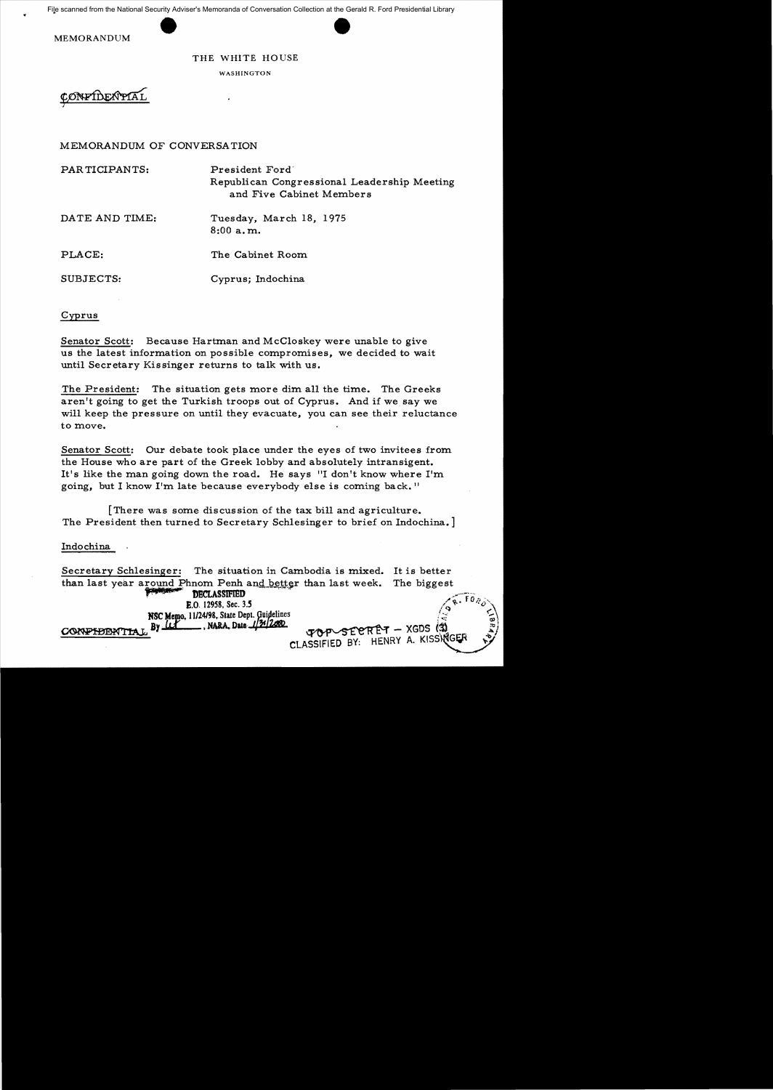File scanned from the National Security Adviser's Memoranda of Conversation Collection at the Gerald R. Ford Presidential Library

MEMORANDUM

## THE WHITE HOUSE

WASHINGTON

CONFIDENTIAL

## MEMORANDUM OF CONVERSATION

PAR TICIPANTS: President Ford' Republican Congressional Leadership Meeting and Five Cabinet Members

DATE AND TIME: Tuesday, March 18, 1975 8:00 a. m.

PLACE: The Cabinet Room

SUBJECTS: Cyprus; Indochina

### Cyprus

Senator Scott: Because Hartman and McCloskey were unable to give us the latest information on possible compromises, we decided to wait until Secretary Kissinger returns to talk with us.

The President: The situation gets more dim all the time. The Greeks aren't going to get the Turkish troops out of Cyprus. And if we say we will keep the pressure on until they evacuate, you can see their reluctance to move.

Senator Scott: Our debate took place under the eyes of two invitees from the House who are part of the Greek lobby and absolutely intransigent. It's like the man going down the road. He says "I don't know where  $I'm$ going, but I know I'm late because everybody else is coming back. <sup>11</sup>

[There was some discussion of the tax bill and agriculture. The President then turned to Secretary Schlesinger to brief on Indochina.]

#### Indochina

Secretary Schlesinger: The situation in Cambodia is mixed. It is better than last year around Phnom Penh and better than last week. The biggest **pECLASSIFIED** E.O. 12958, Sec. 3.5 NSC Memo, 11/24/98, State Dept. Guidelines ;<br>CONFIDENTIAL By  $\frac{1}{2}$ , NARA, Date  $\frac{1}{2}$ (2000)  $\frac{1}{2}$   $\frac{1}{2}$ CLASSIFIED BY: HENRY A. KISSINGER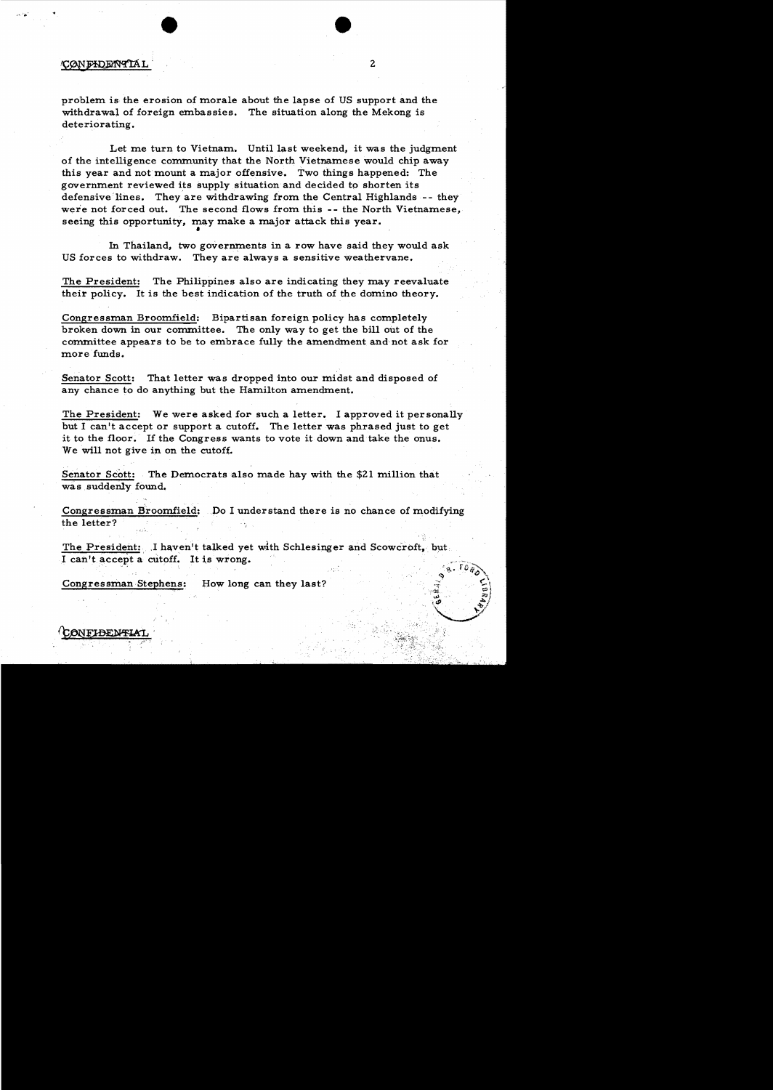## CONFIDENTIAI

problem is the erosion of morale about the lapse of US support and the withdrawal of foreign embassies. The situation along the Mekong is deteriorating.

Let me turn to Vietnam. Until last weekend, it was the judgment of the intelligence community that the North Vietnamese would chip away this year and not mount a major offensive. Two things happened: The government reviewed its supply situation and decided to shorten its defensive 'lines. They are withdrawing from the Central Highlands -- they were not forced out. The second flows from this -- the North Vietnamese. seeing this opportunity, may make a major attack this year.

In Thailand, two governments in a row have said they would ask US forces to withdraw. They are always a sensitive weathervane.

The President: The Philippines also are indicating they may reevaluate their policy. It is the best indication of the truth of the domino theory.

Congressman Broomfield: Bipartisan foreign policy has completely broken down in our committee. The only way to get the bill out of the committee appears to be to embrace fully the amendment and not ask for more funds.

Senator Scott: That letter was dropped into our midst and disposed of any chance to do anything but the Hamilton amendment.

The President: We were asked for such a letter. I approved it personally but I can't accept or support a cutoff. The letter was phrased just to get it to the floor. If the Congress wants to vote it down and take the onus. We will not give in on the cutoff.

Senator Scott: The Democrats also made hay with the \$21 million that was suddenly found.

Congressman Broomfield: .Do I understand there is no chance of modifying the letter?

The President: I haven't talked yet with Schlesinger and Scowcroft, but I can't accept a cutoff. It is wrong.

Congressman Stephens: How long can they last?

CONFIDENTIAT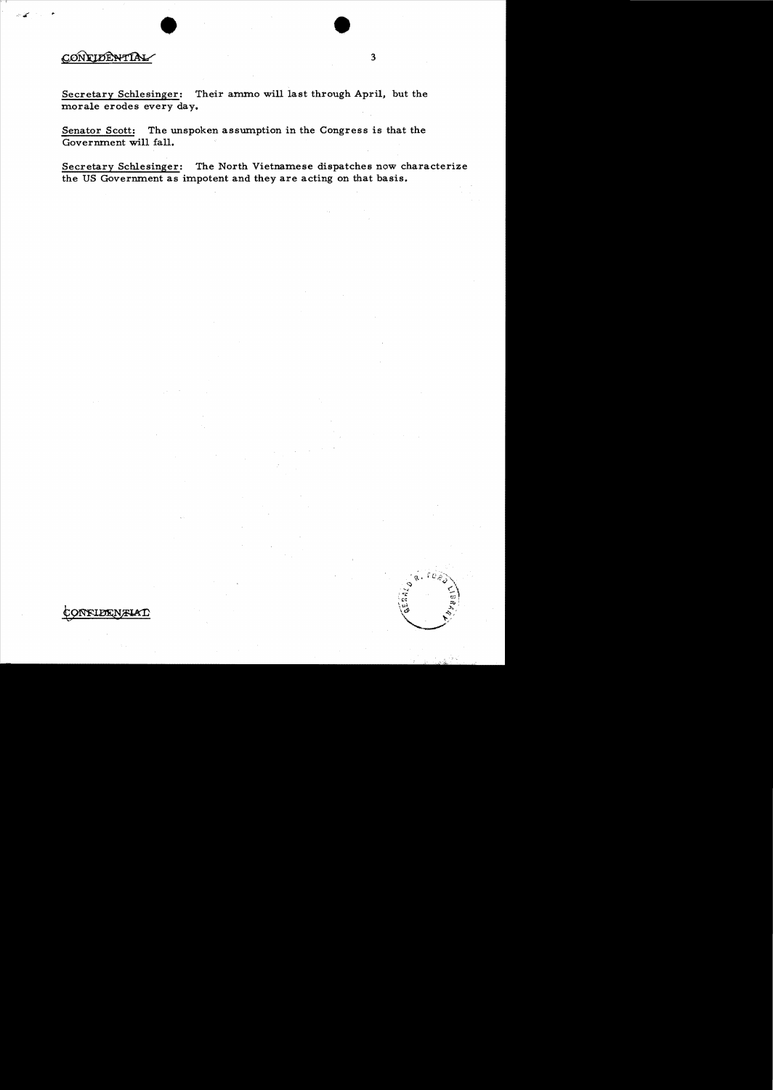# CONFIDENTIAL

Secretary Schlesinger: Their ammo will last through April, but the morale erodes every day.

Senator Scott: The unspoken assumption in the Congress is that the Govermnent will fall.

Secretary Schlesinger: The North Vietnamese dispatches now characterize the US Govermnent as impotent and they are acting on that basis.

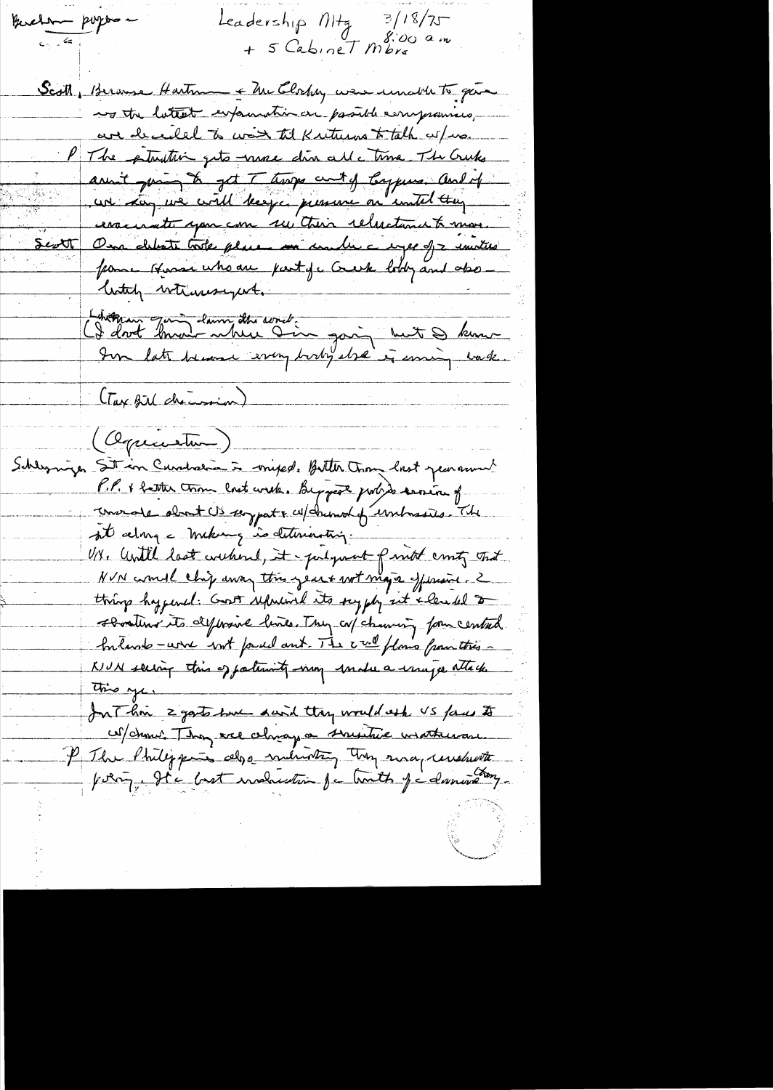Leadership Mtg Buchen purpose  $3/18/7$ + 5 Cabinet Mbrs am Scott, Bernese Hartman + McClochey were unable to gave no the latest expanding a passible compromises, are deceded to war til Kriturns to talk as/ins. The ptruttic gets name din all a time. The Cruks aren't juring to get Throps cent of Cappins. And of un Lon me civil beefe pressent en initial trag associate spon com sui their releastance to more. On debute trole place in under a repe of a united Septt frame Hussellho are party a Creek body and also litely whensyet. Libération Jan Laury des sons :<br>CI dont band where I'm going but I kun (Tax Bill decision) (Oquantur) Schleynige Sit in Curchalia in mixed. Bitter Trong last personnel P.P. + batter tron last with. Beggad port to service of convente dont US support w/ channot of unloss the sit along = mekang indettrienting. U.V. Until last withered, it - pulgment of most crisity that NVN courrel chip away this year + wit mage of waive. 2 thing hyperal: Gost septeminal its supply set alended to sometime its difference lines. They cal channing form central Inland -wire but found ant. The cred flows from this -KIUN serving this of patientity way under a usuge attack. this yes In This 2 gosts have daid they would ask VS faces to coldenul. They are changes a suistue usatheran. P The Philippies also industry they risa, understa point. It a bost industrie ja houth ja duning